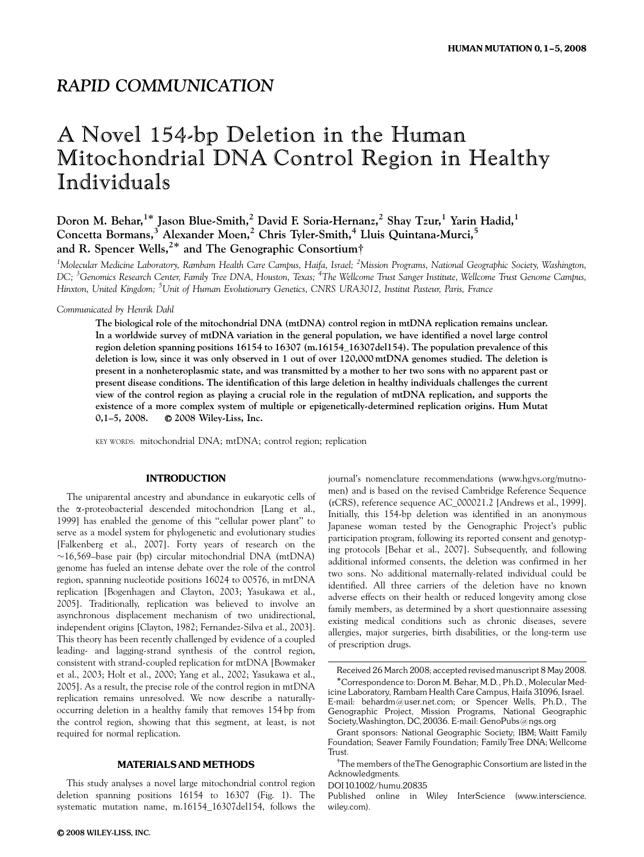# RAPID COMMUNICATION

# A Novel 154-bp Deletion in the Human Mitochondrial DNA Control Region in Healthy Individuals

Doron M. Behar, $^{1*}$  Jason Blue-Smith, $^2$  David F. Soria-Hernanz, $^2$  Shay Tzur, $^1$  Yarin Hadid, $^1$ Concetta Bormans,<sup>3</sup> Alexander Moen,<sup>2</sup> Chris Tyler-Smith,<sup>4</sup> Lluis Quintana-Murci,<sup>5</sup> and R. Spencer Wells,<sup>2\*</sup> and The Genographic Consortium<sup>†</sup>

<sup>1</sup>Molecular Medicine Laboratory, Rambam Health Care Campus, Haifa, Israel; <sup>2</sup>Mission Programs, National Geographic Society, Washington, DC; <sup>3</sup>Genomics Research Center, Family Tree DNA, Houston, Texas; <sup>4</sup>The Wellcome Trust Sanger Institute, Wellcome Trust Genome Campus, Hinxton, United Kingdom; <sup>5</sup>Unit of Human Evolutionary Genetics, CNRS URA3012, Institut Pasteur, Paris, France

Communicated by Henrik Dahl

The biological role of the mitochondrial DNA (mtDNA) control region in mtDNA replication remains unclear. In a worldwide survey of mtDNA variation in the general population, we have identified a novel large control region deletion spanning positions 16154 to 16307 (m.16154*\_*16307del154). The population prevalence of this deletion is low, since it was only observed in 1 out of over 120,000 mtDNA genomes studied. The deletion is present in a nonheteroplasmic state, and was transmitted by a mother to her two sons with no apparent past or present disease conditions. The identification of this large deletion in healthy individuals challenges the current view of the control region as playing a crucial role in the regulation of mtDNA replication, and supports the existence of a more complex system of multiple or epigenetically-determined replication origins. Hum Mutat 0,1–5, 2008.  $\bullet$  2008 Wiley-Liss, Inc.

KEY WORDS: mitochondrial DNA; mtDNA; control region; replication

## **INTRODUCTION**

The uniparental ancestry and abundance in eukaryotic cells of the *a*-proteobacterial descended mitochondrion [Lang et al., 1999] has enabled the genome of this ''cellular power plant'' to serve as a model system for phylogenetic and evolutionary studies [Falkenberg et al., 2007]. Forty years of research on the  $\sim$ 16,569–base pair (bp) circular mitochondrial DNA (mtDNA) genome has fueled an intense debate over the role of the control region, spanning nucleotide positions 16024 to 00576, in mtDNA replication [Bogenhagen and Clayton, 2003; Yasukawa et al., 2005]. Traditionally, replication was believed to involve an asynchronous displacement mechanism of two unidirectional, independent origins [Clayton, 1982; Fernandez-Silva et al., 2003]. This theory has been recently challenged by evidence of a coupled leading- and lagging-strand synthesis of the control region, consistent with strand-coupled replication for mtDNA [Bowmaker et al., 2003; Holt et al., 2000; Yang et al., 2002; Yasukawa et al., 2005]. As a result, the precise role of the control region in mtDNA replication remains unresolved. We now describe a naturallyoccurring deletion in a healthy family that removes 154 bp from the control region, showing that this segment, at least, is not required for normal replication.

# MATERIALS AND METHODS

This study analyses a novel large mitochondrial control region deletion spanning positions 16154 to 16307 (Fig. 1). The systematic mutation name, m.16154\_16307del154, follows the

 $Q$  2008 WILEY-LISS, INC.

journal's nomenclature recommendations (www.hgvs.org/mutnomen) and is based on the revised Cambridge Reference Sequence (rCRS), reference sequence AC\_000021.2 [Andrews et al., 1999]. Initially, this 154-bp deletion was identified in an anonymous Japanese woman tested by the Genographic Project's public participation program, following its reported consent and genotyping protocols [Behar et al., 2007]. Subsequently, and following additional informed consents, the deletion was confirmed in her two sons. No additional maternally-related individual could be identified. All three carriers of the deletion have no known adverse effects on their health or reduced longevity among close family members, as determined by a short questionnaire assessing existing medical conditions such as chronic diseases, severe allergies, major surgeries, birth disabilities, or the long-term use of prescription drugs.

DOI 10.1002/humu.20835

Received 26 March 2008; accepted revised manuscript 8 May 2008.

Correspondence to: Doron M. Behar, M.D., Ph.D., Molecular Medicine Laboratory, Rambam Health Care Campus, Haifa 31096, Israel. E-mail: behardm@user.net.com; or Spencer Wells, Ph.D., The Genographic Project, Mission Programs, National Geographic Society,Washington, DC, 20036. E-mail: GenoPubs@ngs.org

Grant sponsors: National Geographic Society; IBM; Waitt Family Foundation; Seaver Family Foundation; Family Tree DNA; Wellcome **Trust** 

<sup>&</sup>lt;sup>†</sup>The members of theThe Genographic Consortium are listed in the Acknowledgments.

Published online in Wiley InterScience (www.interscience. wiley.com).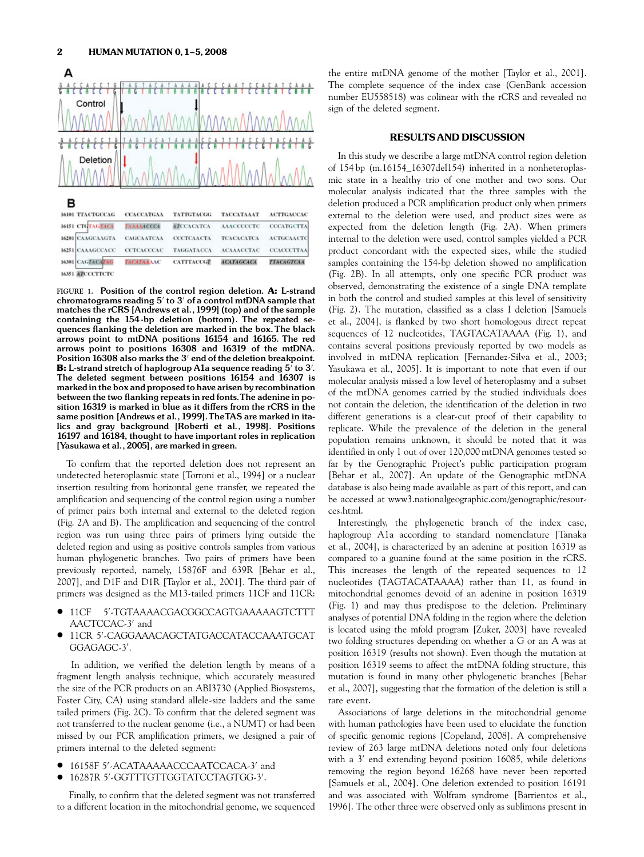

FIGURE 1. Position of the control region deletion. A: L-strand chromatograms reading  $5'$  to  $3'$  of a control mtDNA sample that matches the rCRS [Andrews et al.,1999] (top) and of the sample containing the 154-bp deletion (bottom). The repeated sequences flanking the deletion are marked in the box. The black arrows point to mtDNA positions 16154 and 16165. The red arrows point to positions 16308 and 16319 of the mtDNA. Position 16308 also marks the 3<sup>'</sup> end of the deletion breakpoint. **B:** L-strand stretch of haplogroup A1a sequence reading  $5'$  to  $3'$ . The deleted segment between positions 16154 and 16307 is marked in the box and proposed to have arisen by recombination between the two flanking repeats in red fonts. The adenine in position 16319 is marked in blue as it differs from the rCRS in the same position [Andrews et al.,1999].TheTAS are marked in italics and gray background [Roberti et al., 1998]. Positions 16197 and 16184, thought to have important roles in replication [Yasukawa et al., 2005], are marked in green.

To confirm that the reported deletion does not represent an undetected heteroplasmic state [Torroni et al., 1994] or a nuclear insertion resulting from horizontal gene transfer, we repeated the amplification and sequencing of the control region using a number of primer pairs both internal and external to the deleted region (Fig. 2A and B). The amplification and sequencing of the control region was run using three pairs of primers lying outside the deleted region and using as positive controls samples from various human phylogenetic branches. Two pairs of primers have been previously reported, namely, 15876F and 639R [Behar et al., 2007], and D1F and D1R [Taylor et al., 2001]. The third pair of primers was designed as the M13-tailed primers 11CF and 11CR:

- $\bullet$  11CF 5'-TGTAAAACGACGGCCAGTGAAAAAGTCTTT AACTCCAC-3' and
- $\bullet$  11CR 5'-CAGGAAACAGCTATGACCATACCAAATGCAT GGAGAGC-3'.

In addition, we verified the deletion length by means of a fragment length analysis technique, which accurately measured the size of the PCR products on an ABI3730 (Applied Biosystems, Foster City, CA) using standard allele-size ladders and the same tailed primers (Fig. 2C). To confirm that the deleted segment was not transferred to the nuclear genome (i.e., a NUMT) or had been missed by our PCR amplification primers, we designed a pair of primers internal to the deleted segment:

- $\bullet$  16158F 5'-ACATAAAAACCCAATCCACA-3' and
- $\bullet$  16287R 5'-GGTTTGTTGGTATCCTAGTGG-3'.

Finally, to confirm that the deleted segment was not transferred to a different location in the mitochondrial genome, we sequenced the entire mtDNA genome of the mother [Taylor et al., 2001]. The complete sequence of the index case (GenBank accession number EU558518) was colinear with the rCRS and revealed no sign of the deleted segment.

#### RESULTS AND DISCUSSION

In this study we describe a large mtDNA control region deletion of 154 bp (m.16154\_16307del154) inherited in a nonheteroplasmic state in a healthy trio of one mother and two sons. Our molecular analysis indicated that the three samples with the deletion produced a PCR amplification product only when primers external to the deletion were used, and product sizes were as expected from the deletion length (Fig. 2A). When primers internal to the deletion were used, control samples yielded a PCR product concordant with the expected sizes, while the studied samples containing the 154-bp deletion showed no amplification (Fig. 2B). In all attempts, only one specific PCR product was observed, demonstrating the existence of a single DNA template in both the control and studied samples at this level of sensitivity (Fig. 2). The mutation, classified as a class I deletion [Samuels et al., 2004], is flanked by two short homologous direct repeat sequences of 12 nucleotides, TAGTACATAAAA (Fig. 1), and contains several positions previously reported by two models as involved in mtDNA replication [Fernandez-Silva et al., 2003; Yasukawa et al., 2005]. It is important to note that even if our molecular analysis missed a low level of heteroplasmy and a subset of the mtDNA genomes carried by the studied individuals does not contain the deletion, the identification of the deletion in two different generations is a clear-cut proof of their capability to replicate. While the prevalence of the deletion in the general population remains unknown, it should be noted that it was identified in only 1 out of over 120,000 mtDNA genomes tested so far by the Genographic Project's public participation program [Behar et al., 2007]. An update of the Genographic mtDNA database is also being made available as part of this report, and can be accessed at www3.nationalgeographic.com/genographic/resources.html.

Interestingly, the phylogenetic branch of the index case, haplogroup A1a according to standard nomenclature [Tanaka et al., 2004], is characterized by an adenine at position 16319 as compared to a guanine found at the same position in the rCRS. This increases the length of the repeated sequences to 12 nucleotides (TAGTACATAAAA) rather than 11, as found in mitochondrial genomes devoid of an adenine in position 16319 (Fig. 1) and may thus predispose to the deletion. Preliminary analyses of potential DNA folding in the region where the deletion is located using the mfold program [Zuker, 2003] have revealed two folding structures depending on whether a G or an A was at position 16319 (results not shown). Even though the mutation at position 16319 seems to affect the mtDNA folding structure, this mutation is found in many other phylogenetic branches [Behar et al., 2007], suggesting that the formation of the deletion is still a rare event.

Associations of large deletions in the mitochondrial genome with human pathologies have been used to elucidate the function of specific genomic regions [Copeland, 2008]. A comprehensive review of 263 large mtDNA deletions noted only four deletions with a  $3'$  end extending beyond position 16085, while deletions removing the region beyond 16268 have never been reported [Samuels et al., 2004]. One deletion extended to position 16191 and was associated with Wolfram syndrome [Barrientos et al., 1996]. The other three were observed only as sublimons present in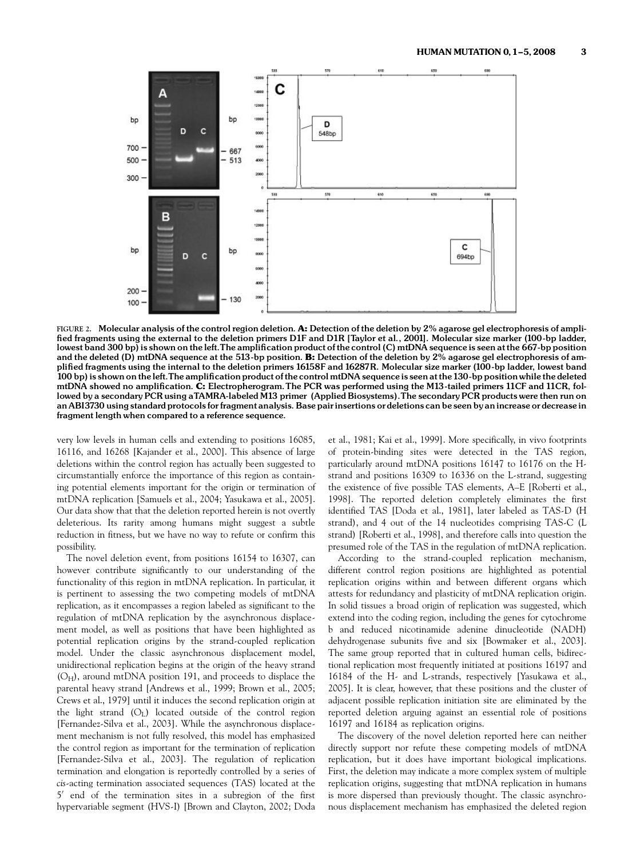

FIGURE 2. Molecular analysis of the control region deletion. A: Detection of the deletion by 2% agarose gel electrophoresis of amplified fragments using the external to the deletion primers D1F and D1R [Taylor et al., 2001]. Molecular size marker (100-bp ladder, lowest band 300 bp) is shown on the left. The amplification product of the control (C) mtDNA sequence is seen at the 667-bp position and the deleted (D) mtDNA sequence at the 513-bp position. B: Detection of the deletion by 2% agarose gel electrophoresis of ampli¢ed fragments using the internal to the deletion primers 16158F and 16287R. Molecular size marker (100-bp ladder, lowest band 100 bp) is shown on the left. The amplification product of the control mtDNA sequence is seen at the 130-bp position while the deleted mtDNA showed no amplification. C: Electropherogram. The PCR was performed using the M13-tailed primers 11CF and 11CR, followed by a secondary PCR using aTAMRA-labeled M13 primer (Applied Biosystems).The secondary PCR products were then run on an ABI3730 using standard protocols for fragment analysis. Base pair insertions or deletions can be seen by an increase or decrease in fragment length when compared to a reference sequence.

very low levels in human cells and extending to positions 16085, 16116, and 16268 [Kajander et al., 2000]. This absence of large deletions within the control region has actually been suggested to circumstantially enforce the importance of this region as containing potential elements important for the origin or termination of mtDNA replication [Samuels et al., 2004; Yasukawa et al., 2005]. Our data show that that the deletion reported herein is not overtly deleterious. Its rarity among humans might suggest a subtle reduction in fitness, but we have no way to refute or confirm this possibility.

The novel deletion event, from positions 16154 to 16307, can however contribute significantly to our understanding of the functionality of this region in mtDNA replication. In particular, it is pertinent to assessing the two competing models of mtDNA replication, as it encompasses a region labeled as significant to the regulation of mtDNA replication by the asynchronous displacement model, as well as positions that have been highlighted as potential replication origins by the strand-coupled replication model. Under the classic asynchronous displacement model, unidirectional replication begins at the origin of the heavy strand  $(O<sub>H</sub>)$ , around mtDNA position 191, and proceeds to displace the parental heavy strand [Andrews et al., 1999; Brown et al., 2005; Crews et al., 1979] until it induces the second replication origin at the light strand (OL) located outside of the control region [Fernandez-Silva et al., 2003]. While the asynchronous displacement mechanism is not fully resolved, this model has emphasized the control region as important for the termination of replication [Fernandez-Silva et al., 2003]. The regulation of replication termination and elongation is reportedly controlled by a series of cis-acting termination associated sequences (TAS) located at the 5' end of the termination sites in a subregion of the first hypervariable segment (HVS-I) [Brown and Clayton, 2002; Doda

et al., 1981; Kai et al., 1999]. More specifically, in vivo footprints of protein-binding sites were detected in the TAS region, particularly around mtDNA positions 16147 to 16176 on the Hstrand and positions 16309 to 16336 on the L-strand, suggesting the existence of five possible TAS elements, A–E [Roberti et al., 1998]. The reported deletion completely eliminates the first identified TAS [Doda et al., 1981], later labeled as TAS-D (H strand), and 4 out of the 14 nucleotides comprising TAS-C (L strand) [Roberti et al., 1998], and therefore calls into question the presumed role of the TAS in the regulation of mtDNA replication.

According to the strand-coupled replication mechanism, different control region positions are highlighted as potential replication origins within and between different organs which attests for redundancy and plasticity of mtDNA replication origin. In solid tissues a broad origin of replication was suggested, which extend into the coding region, including the genes for cytochrome b and reduced nicotinamide adenine dinucleotide (NADH) dehydrogenase subunits five and six [Bowmaker et al., 2003]. The same group reported that in cultured human cells, bidirectional replication most frequently initiated at positions 16197 and 16184 of the H- and L-strands, respectively [Yasukawa et al., 2005]. It is clear, however, that these positions and the cluster of adjacent possible replication initiation site are eliminated by the reported deletion arguing against an essential role of positions 16197 and 16184 as replication origins.

The discovery of the novel deletion reported here can neither directly support nor refute these competing models of mtDNA replication, but it does have important biological implications. First, the deletion may indicate a more complex system of multiple replication origins, suggesting that mtDNA replication in humans is more dispersed than previously thought. The classic asynchronous displacement mechanism has emphasized the deleted region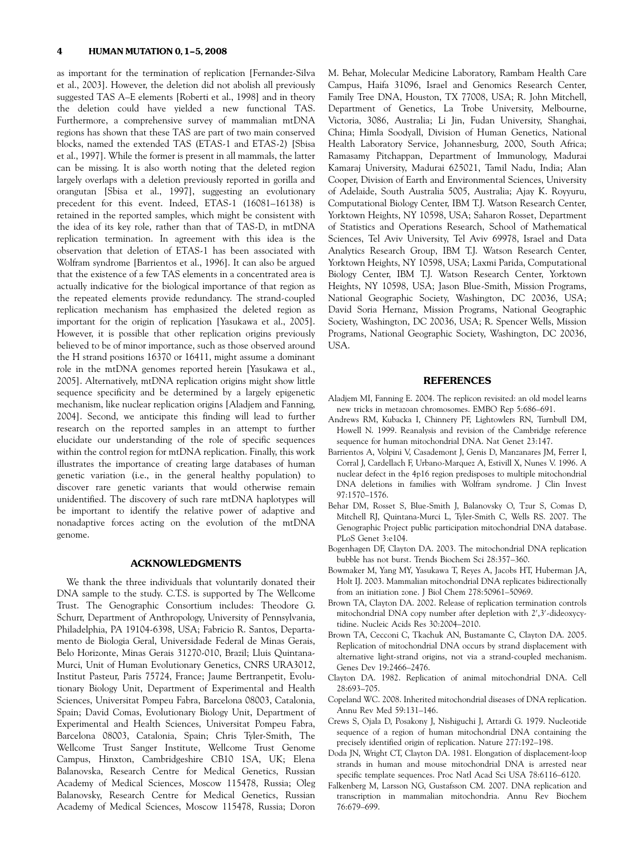as important for the termination of replication [Fernandez-Silva et al., 2003]. However, the deletion did not abolish all previously suggested TAS A–E elements [Roberti et al., 1998] and in theory the deletion could have yielded a new functional TAS. Furthermore, a comprehensive survey of mammalian mtDNA regions has shown that these TAS are part of two main conserved blocks, named the extended TAS (ETAS-1 and ETAS-2) [Sbisa et al., 1997]. While the former is present in all mammals, the latter can be missing. It is also worth noting that the deleted region largely overlaps with a deletion previously reported in gorilla and orangutan [Sbisa et al., 1997], suggesting an evolutionary precedent for this event. Indeed, ETAS-1 (16081–16138) is retained in the reported samples, which might be consistent with the idea of its key role, rather than that of TAS-D, in mtDNA replication termination. In agreement with this idea is the observation that deletion of ETAS-1 has been associated with Wolfram syndrome [Barrientos et al., 1996]. It can also be argued that the existence of a few TAS elements in a concentrated area is actually indicative for the biological importance of that region as the repeated elements provide redundancy. The strand-coupled replication mechanism has emphasized the deleted region as important for the origin of replication [Yasukawa et al., 2005]. However, it is possible that other replication origins previously believed to be of minor importance, such as those observed around the H strand positions 16370 or 16411, might assume a dominant role in the mtDNA genomes reported herein [Yasukawa et al., 2005]. Alternatively, mtDNA replication origins might show little sequence specificity and be determined by a largely epigenetic mechanism, like nuclear replication origins [Aladjem and Fanning, 2004]. Second, we anticipate this finding will lead to further research on the reported samples in an attempt to further elucidate our understanding of the role of specific sequences within the control region for mtDNA replication. Finally, this work illustrates the importance of creating large databases of human genetic variation (i.e., in the general healthy population) to discover rare genetic variants that would otherwise remain unidentified. The discovery of such rare mtDNA haplotypes will be important to identify the relative power of adaptive and nonadaptive forces acting on the evolution of the mtDNA genome.

### ACKNOWLEDGMENTS

We thank the three individuals that voluntarily donated their DNA sample to the study. C.T.S. is supported by The Wellcome Trust. The Genographic Consortium includes: Theodore G. Schurr, Department of Anthropology, University of Pennsylvania, Philadelphia, PA 19104-6398, USA; Fabricio R. Santos, Departamento de Biologia Geral, Universidade Federal de Minas Gerais, Belo Horizonte, Minas Gerais 31270-010, Brazil; Lluis Quintana-Murci, Unit of Human Evolutionary Genetics, CNRS URA3012, Institut Pasteur, Paris 75724, France; Jaume Bertranpetit, Evolutionary Biology Unit, Department of Experimental and Health Sciences, Universitat Pompeu Fabra, Barcelona 08003, Catalonia, Spain; David Comas, Evolutionary Biology Unit, Department of Experimental and Health Sciences, Universitat Pompeu Fabra, Barcelona 08003, Catalonia, Spain; Chris Tyler-Smith, The Wellcome Trust Sanger Institute, Wellcome Trust Genome Campus, Hinxton, Cambridgeshire CB10 1SA, UK; Elena Balanovska, Research Centre for Medical Genetics, Russian Academy of Medical Sciences, Moscow 115478, Russia; Oleg Balanovsky, Research Centre for Medical Genetics, Russian Academy of Medical Sciences, Moscow 115478, Russia; Doron

M. Behar, Molecular Medicine Laboratory, Rambam Health Care Campus, Haifa 31096, Israel and Genomics Research Center, Family Tree DNA, Houston, TX 77008, USA; R. John Mitchell, Department of Genetics, La Trobe University, Melbourne, Victoria, 3086, Australia; Li Jin, Fudan University, Shanghai, China; Himla Soodyall, Division of Human Genetics, National Health Laboratory Service, Johannesburg, 2000, South Africa; Ramasamy Pitchappan, Department of Immunology, Madurai Kamaraj University, Madurai 625021, Tamil Nadu, India; Alan Cooper, Division of Earth and Environmental Sciences, University of Adelaide, South Australia 5005, Australia; Ajay K. Royyuru, Computational Biology Center, IBM T.J. Watson Research Center, Yorktown Heights, NY 10598, USA; Saharon Rosset, Department of Statistics and Operations Research, School of Mathematical Sciences, Tel Aviv University, Tel Aviv 69978, Israel and Data Analytics Research Group, IBM T.J. Watson Research Center, Yorktown Heights, NY 10598, USA; Laxmi Parida, Computational Biology Center, IBM T.J. Watson Research Center, Yorktown Heights, NY 10598, USA; Jason Blue-Smith, Mission Programs, National Geographic Society, Washington, DC 20036, USA; David Soria Hernanz, Mission Programs, National Geographic Society, Washington, DC 20036, USA; R. Spencer Wells, Mission Programs, National Geographic Society, Washington, DC 20036, USA.

#### **REFERENCES**

- Aladjem MI, Fanning E. 2004. The replicon revisited: an old model learns new tricks in metazoan chromosomes. EMBO Rep 5:686–691.
- Andrews RM, Kubacka I, Chinnery PF, Lightowlers RN, Turnbull DM, Howell N. 1999. Reanalysis and revision of the Cambridge reference sequence for human mitochondrial DNA. Nat Genet 23:147.
- Barrientos A, Volpini V, Casademont J, Genis D, Manzanares JM, Ferrer I, Corral J, Cardellach F, Urbano-Marquez A, Estivill X, Nunes V. 1996. A nuclear defect in the 4p16 region predisposes to multiple mitochondrial DNA deletions in families with Wolfram syndrome. J Clin Invest 97:1570–1576.
- Behar DM, Rosset S, Blue-Smith J, Balanovsky O, Tzur S, Comas D, Mitchell RJ, Quintana-Murci L, Tyler-Smith C, Wells RS. 2007. The Genographic Project public participation mitochondrial DNA database. PLoS Genet 3:e104.
- Bogenhagen DF, Clayton DA. 2003. The mitochondrial DNA replication bubble has not burst. Trends Biochem Sci 28:357–360.
- Bowmaker M, Yang MY, Yasukawa T, Reyes A, Jacobs HT, Huberman JA, Holt IJ. 2003. Mammalian mitochondrial DNA replicates bidirectionally from an initiation zone. J Biol Chem 278:50961–50969.
- Brown TA, Clayton DA. 2002. Release of replication termination controls mitochondrial DNA copy number after depletion with 2',3'-dideoxycytidine. Nucleic Acids Res 30:2004–2010.
- Brown TA, Cecconi C, Tkachuk AN, Bustamante C, Clayton DA. 2005. Replication of mitochondrial DNA occurs by strand displacement with alternative light-strand origins, not via a strand-coupled mechanism. Genes Dev 19:2466–2476.
- Clayton DA. 1982. Replication of animal mitochondrial DNA. Cell 28:693–705.
- Copeland WC. 2008. Inherited mitochondrial diseases of DNA replication. Annu Rev Med 59:131–146.
- Crews S, Ojala D, Posakony J, Nishiguchi J, Attardi G. 1979. Nucleotide sequence of a region of human mitochondrial DNA containing the precisely identified origin of replication. Nature 277:192–198.
- Doda JN, Wright CT, Clayton DA. 1981. Elongation of displacement-loop strands in human and mouse mitochondrial DNA is arrested near specific template sequences. Proc Natl Acad Sci USA 78:6116–6120.
- Falkenberg M, Larsson NG, Gustafsson CM. 2007. DNA replication and transcription in mammalian mitochondria. Annu Rev Biochem 76:679–699.